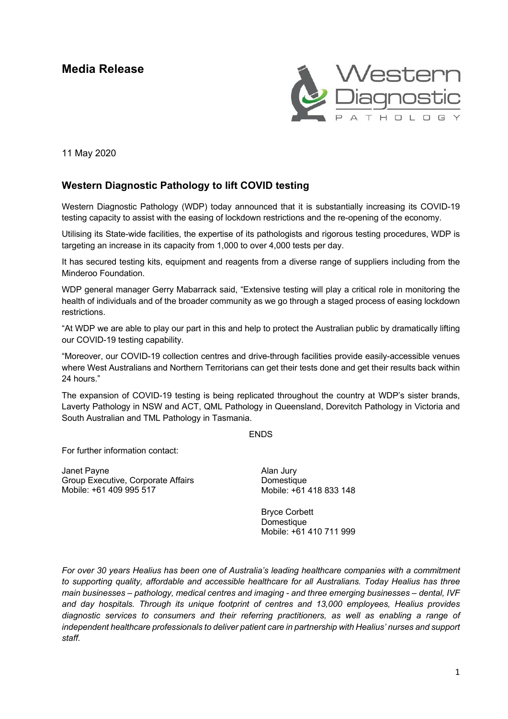# **Media Release**



11 May 2020

## **Western Diagnostic Pathology to lift COVID testing**

Western Diagnostic Pathology (WDP) today announced that it is substantially increasing its COVID-19 testing capacity to assist with the easing of lockdown restrictions and the re-opening of the economy.

Utilising its State-wide facilities, the expertise of its pathologists and rigorous testing procedures, WDP is targeting an increase in its capacity from 1,000 to over 4,000 tests per day.

It has secured testing kits, equipment and reagents from a diverse range of suppliers including from the Minderoo Foundation.

WDP general manager Gerry Mabarrack said, "Extensive testing will play a critical role in monitoring the health of individuals and of the broader community as we go through a staged process of easing lockdown restrictions.

"At WDP we are able to play our part in this and help to protect the Australian public by dramatically lifting our COVID-19 testing capability.

"Moreover, our COVID-19 collection centres and drive-through facilities provide easily-accessible venues where West Australians and Northern Territorians can get their tests done and get their results back within 24 hours."

The expansion of COVID-19 testing is being replicated throughout the country at WDP's sister brands, Laverty Pathology in NSW and ACT, QML Pathology in Queensland, Dorevitch Pathology in Victoria and South Australian and TML Pathology in Tasmania.

ENDS

For further information contact:

Janet Payne Group Executive, Corporate Affairs Mobile: +61 409 995 517

Alan Jury Domestique Mobile: +61 418 833 148

Bryce Corbett **Domestique** Mobile: +61 410 711 999

*For over 30 years Healius has been one of Australia's leading healthcare companies with a commitment to supporting quality, affordable and accessible healthcare for all Australians. Today Healius has three main businesses – pathology, medical centres and imaging - and three emerging businesses – dental, IVF and day hospitals. Through its unique footprint of centres and 13,000 employees, Healius provides diagnostic services to consumers and their referring practitioners, as well as enabling a range of independent healthcare professionals to deliver patient care in partnership with Healius' nurses and support staff.*